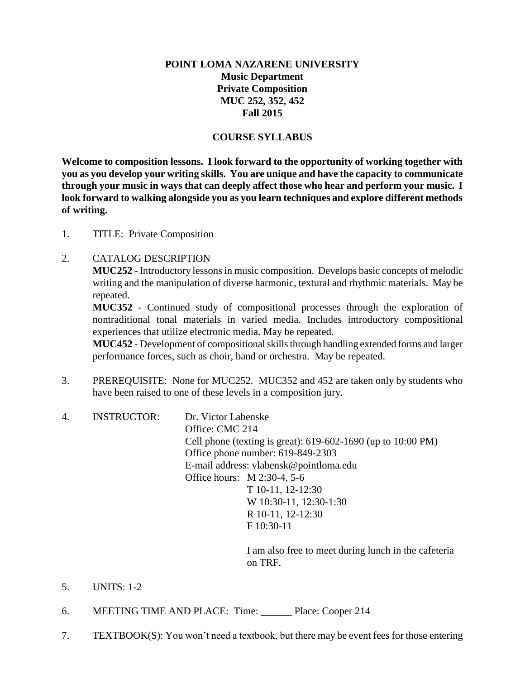# **POINT LOMA NAZARENE UNIVERSITY Music Department Private Composition MUC 252, 352, 452 Fall 2015**

## **COURSE SYLLABUS**

**Welcome to composition lessons. I look forward to the opportunity of working together with you as you develop your writing skills. You are unique and have the capacity to communicate through your music in ways that can deeply affect those who hear and perform your music. I look forward to walking alongside you as you learn techniques and explore different methods of writing.** 

1. TITLE: Private Composition

## 2. CATALOG DESCRIPTION

**MUC252** - Introductory lessons in music composition. Develops basic concepts of melodic writing and the manipulation of diverse harmonic, textural and rhythmic materials. May be repeated.

**MUC352** - Continued study of compositional processes through the exploration of nontraditional tonal materials in varied media. Includes introductory compositional experiences that utilize electronic media. May be repeated.

**MUC452** - Development of compositional skills through handling extended forms and larger performance forces, such as choir, band or orchestra. May be repeated.

- 3. PREREQUISITE: None for MUC252. MUC352 and 452 are taken only by students who have been raised to one of these levels in a composition jury.
- 4. INSTRUCTOR: Dr. Victor Labenske Office: CMC 214 Cell phone (texting is great): 619-602-1690 (up to 10:00 PM) Office phone number: 619-849-2303 E-mail address: vlabensk@pointloma.edu Office hours: M 2:30-4, 5-6 T 10-11, 12-12:30 W 10:30-11, 12:30-1:30 R 10-11, 12-12:30 F 10:30-11

I am also free to meet during lunch in the cafeteria on TRF.

- 5. UNITS: 1-2
- 6. MEETING TIME AND PLACE: Time: \_\_\_\_\_\_ Place: Cooper 214
- 7. TEXTBOOK(S): You won't need a textbook, but there may be event fees for those entering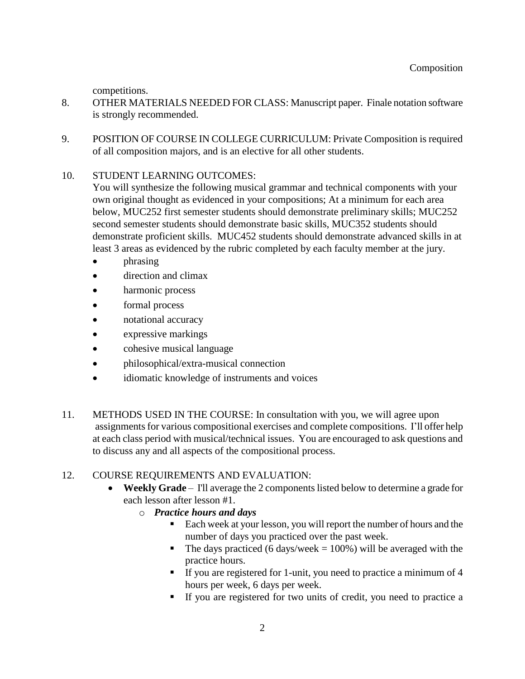competitions.

- 8. OTHER MATERIALS NEEDED FOR CLASS: Manuscript paper. Finale notation software is strongly recommended.
- 9. POSITION OF COURSE IN COLLEGE CURRICULUM: Private Composition is required of all composition majors, and is an elective for all other students.

## 10. STUDENT LEARNING OUTCOMES:

You will synthesize the following musical grammar and technical components with your own original thought as evidenced in your compositions; At a minimum for each area below, MUC252 first semester students should demonstrate preliminary skills; MUC252 second semester students should demonstrate basic skills, MUC352 students should demonstrate proficient skills. MUC452 students should demonstrate advanced skills in at least 3 areas as evidenced by the rubric completed by each faculty member at the jury.

- phrasing
- direction and climax
- harmonic process
- formal process
- notational accuracy
- expressive markings
- cohesive musical language
- philosophical/extra-musical connection
- idiomatic knowledge of instruments and voices
- 11. METHODS USED IN THE COURSE: In consultation with you, we will agree upon assignments for various compositional exercises and complete compositions. I'll offer help at each class period with musical/technical issues. You are encouraged to ask questions and to discuss any and all aspects of the compositional process.

# 12. COURSE REQUIREMENTS AND EVALUATION:

- **Weekly Grade** I'll average the 2 components listed below to determine a grade for each lesson after lesson #1.
	- o *Practice hours and days*
		- Each week at your lesson, you will report the number of hours and the number of days you practiced over the past week.
		- The days practiced (6 days/week =  $100\%$ ) will be averaged with the practice hours.
		- If you are registered for 1-unit, you need to practice a minimum of 4 hours per week, 6 days per week.
		- If you are registered for two units of credit, you need to practice a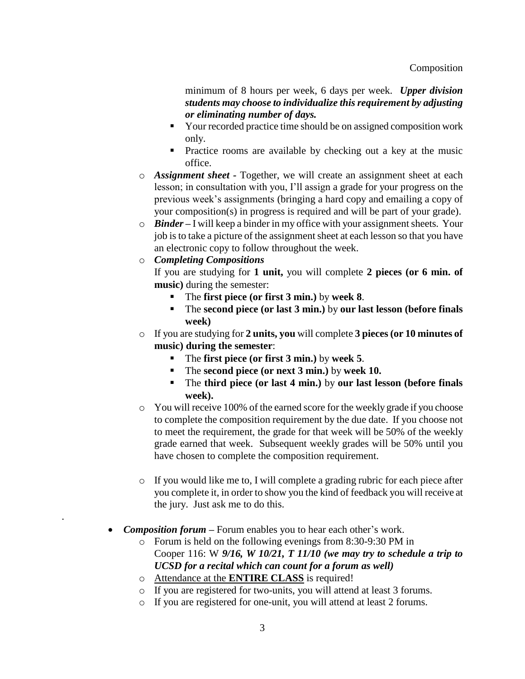minimum of 8 hours per week, 6 days per week. *Upper division students may choose to individualize this requirement by adjusting or eliminating number of days.*

- Your recorded practice time should be on assigned composition work only.
- **Practice rooms are available by checking out a key at the music** office.
- o *Assignment sheet -* Together, we will create an assignment sheet at each lesson; in consultation with you, I'll assign a grade for your progress on the previous week's assignments (bringing a hard copy and emailing a copy of your composition(s) in progress is required and will be part of your grade).
- o *Binder –* I will keep a binder in my office with your assignment sheets. Your job is to take a picture of the assignment sheet at each lesson so that you have an electronic copy to follow throughout the week.
- o *Completing Compositions*

.

If you are studying for **1 unit,** you will complete **2 pieces (or 6 min. of music)** during the semester:

- The **first piece (or first 3 min.)** by **week 8**.
- The **second piece (or last 3 min.)** by **our last lesson (before finals week)**
- o If you are studying for **2 units, you** will complete **3 pieces (or 10 minutes of music) during the semester**:
	- The **first piece (or first 3 min.)** by **week 5**.
	- The **second piece (or next 3 min.)** by **week 10.**
	- The **third piece (or last 4 min.)** by **our last lesson (before finals week).**
- o You will receive 100% of the earned score for the weekly grade if you choose to complete the composition requirement by the due date. If you choose not to meet the requirement, the grade for that week will be 50% of the weekly grade earned that week. Subsequent weekly grades will be 50% until you have chosen to complete the composition requirement.
- o If you would like me to, I will complete a grading rubric for each piece after you complete it, in order to show you the kind of feedback you will receive at the jury. Just ask me to do this.
- *Composition forum –* Forum enables you to hear each other's work.
	- o Forum is held on the following evenings from 8:30-9:30 PM in Cooper 116: W *9/16, W 10/21, T 11/10 (we may try to schedule a trip to UCSD for a recital which can count for a forum as well)*
	- o Attendance at the **ENTIRE CLASS** is required!
	- o If you are registered for two-units, you will attend at least 3 forums.
	- o If you are registered for one-unit, you will attend at least 2 forums.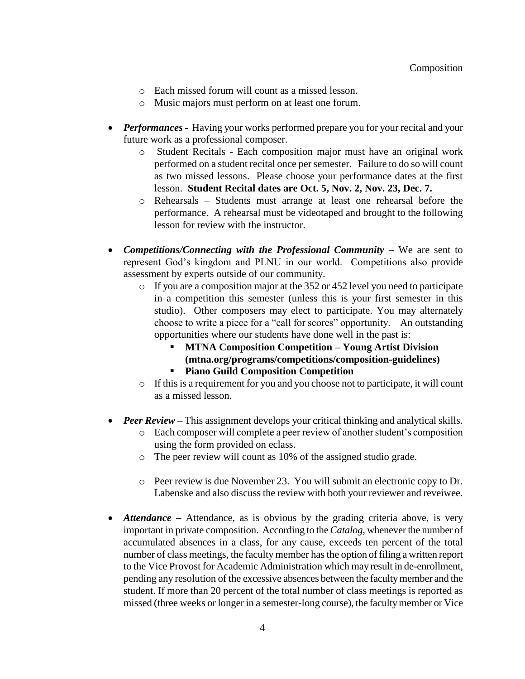- o Each missed forum will count as a missed lesson.
- o Music majors must perform on at least one forum.
- *Performances* Having your works performed prepare you for your recital and your future work as a professional composer.
	- o Student Recitals Each composition major must have an original work performed on a student recital once per semester. Failure to do so will count as two missed lessons. Please choose your performance dates at the first lesson. **Student Recital dates are Oct. 5, Nov. 2, Nov. 23, Dec. 7.**
	- o Rehearsals Students must arrange at least one rehearsal before the performance. A rehearsal must be videotaped and brought to the following lesson for review with the instructor.
- *Competitions/Connecting with the Professional Community* We are sent to represent God's kingdom and PLNU in our world. Competitions also provide assessment by experts outside of our community.
	- o If you are a composition major at the 352 or 452 level you need to participate in a competition this semester (unless this is your first semester in this studio). Other composers may elect to participate. You may alternately choose to write a piece for a "call for scores" opportunity. An outstanding opportunities where our students have done well in the past is:
		- **MTNA Composition Competition – Young Artist Division (mtna.org/programs/competitions/composition-guidelines)**
		- **Piano Guild Composition Competition**
	- o If this is a requirement for you and you choose not to participate, it will count as a missed lesson.
- *Peer Review* This assignment develops your critical thinking and analytical skills.
	- o Each composer will complete a peer review of another student's composition using the form provided on eclass.
	- o The peer review will count as 10% of the assigned studio grade.
	- o Peer review is due November 23. You will submit an electronic copy to Dr. Labenske and also discuss the review with both your reviewer and reveiwee.
- *Attendance* Attendance, as is obvious by the grading criteria above, is very important in private composition. According to the *Catalog*, whenever the number of accumulated absences in a class, for any cause, exceeds ten percent of the total number of class meetings, the faculty member has the option of filing a written report to the Vice Provost for Academic Administration which may result in de-enrollment, pending any resolution of the excessive absences between the faculty member and the student. If more than 20 percent of the total number of class meetings is reported as missed (three weeks or longer in a semester-long course), the faculty member or Vice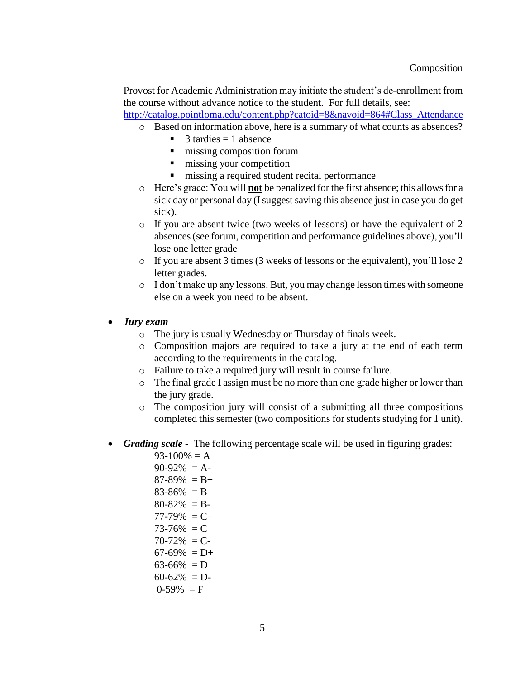Provost for Academic Administration may initiate the student's de-enrollment from the course without advance notice to the student. For full details, see:

[http://catalog.pointloma.edu/content.php?catoid=8&navoid=864#Class\\_Attendance](http://catalog.pointloma.edu/content.php?catoid=8&navoid=864%23Class_Attendance)

- o Based on information above, here is a summary of what counts as absences?
	- $\blacksquare$  3 tardies = 1 absence
	- $\blacksquare$  missing composition forum
	- $\blacksquare$  missing your competition
	- $\blacksquare$  missing a required student recital performance
- o Here's grace: You will **not** be penalized for the first absence; this allows for a sick day or personal day (I suggest saving this absence just in case you do get sick).
- o If you are absent twice (two weeks of lessons) or have the equivalent of 2 absences (see forum, competition and performance guidelines above), you'll lose one letter grade
- o If you are absent 3 times (3 weeks of lessons or the equivalent), you'll lose 2 letter grades.
- o I don't make up any lessons. But, you may change lesson times with someone else on a week you need to be absent.
- *Jury exam*
	- o The jury is usually Wednesday or Thursday of finals week.
	- o Composition majors are required to take a jury at the end of each term according to the requirements in the catalog.
	- o Failure to take a required jury will result in course failure.
	- o The final grade I assign must be no more than one grade higher or lower than the jury grade.
	- o The composition jury will consist of a submitting all three compositions completed this semester (two compositions for students studying for 1 unit).
- *Grading scale -* The following percentage scale will be used in figuring grades:
	- $93-100\% = A$  $90-92\% = A$  $87-89\% = B +$
	-
	- $83-86\% = B$
	- $80-82\% = B$
	- $77-79\% = C +$
	- $73-76\% = C$
	- $70-72\% = C$
	- $67-69\% = D+$
	- $63-66\% = D$
	- $60-62\% = D$
	- $0-59\% = F$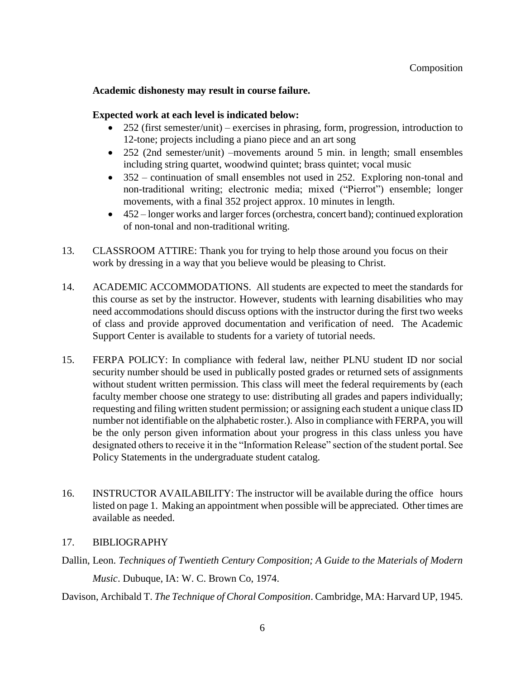## **Academic dishonesty may result in course failure.**

#### **Expected work at each level is indicated below:**

- 252 (first semester/unit) exercises in phrasing, form, progression, introduction to 12-tone; projects including a piano piece and an art song
- 252 (2nd semester/unit) –movements around 5 min. in length; small ensembles including string quartet, woodwind quintet; brass quintet; vocal music
- 352 continuation of small ensembles not used in 252. Exploring non-tonal and non-traditional writing; electronic media; mixed ("Pierrot") ensemble; longer movements, with a final 352 project approx. 10 minutes in length.
- 452 longer works and larger forces (orchestra, concert band); continued exploration of non-tonal and non-traditional writing.
- 13. CLASSROOM ATTIRE: Thank you for trying to help those around you focus on their work by dressing in a way that you believe would be pleasing to Christ.
- 14. ACADEMIC ACCOMMODATIONS. All students are expected to meet the standards for this course as set by the instructor. However, students with learning disabilities who may need accommodations should discuss options with the instructor during the first two weeks of class and provide approved documentation and verification of need. The Academic Support Center is available to students for a variety of tutorial needs.
- 15. FERPA POLICY: In compliance with federal law, neither PLNU student ID nor social security number should be used in publically posted grades or returned sets of assignments without student written permission. This class will meet the federal requirements by (each faculty member choose one strategy to use: distributing all grades and papers individually; requesting and filing written student permission; or assigning each student a unique class ID number not identifiable on the alphabetic roster.). Also in compliance with FERPA, you will be the only person given information about your progress in this class unless you have designated others to receive it in the "Information Release" section of the student portal. See Policy Statements in the undergraduate student catalog.
- 16. INSTRUCTOR AVAILABILITY: The instructor will be available during the office hours listed on page 1. Making an appointment when possible will be appreciated. Other times are available as needed.

## 17. BIBLIOGRAPHY

Dallin, Leon. *Techniques of Twentieth Century Composition; A Guide to the Materials of Modern Music*. Dubuque, IA: W. C. Brown Co, 1974.

Davison, Archibald T. *The Technique of Choral Composition*. Cambridge, MA: Harvard UP, 1945.